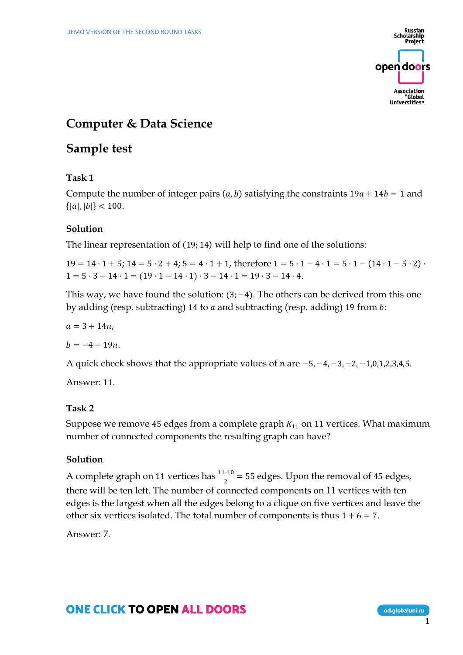

# **Computer & Data Science**

# **Sample test**

### **Task 1**

Compute the number of integer pairs  $(a, b)$  satisfying the constraints  $19a + 14b = 1$  and  ${|a|, |b|} < 100.$ 

### **Solution**

The linear representation of (19; 14) will help to find one of the solutions:

 $19 = 14 \cdot 1 + 5$ ;  $14 = 5 \cdot 2 + 4$ ;  $5 = 4 \cdot 1 + 1$ , therefore  $1 = 5 \cdot 1 - 4 \cdot 1 = 5 \cdot 1 - (14 \cdot 1 - 5 \cdot 2)$ .  $1 = 5 \cdot 3 - 14 \cdot 1 = (19 \cdot 1 - 14 \cdot 1) \cdot 3 - 14 \cdot 1 = 19 \cdot 3 - 14 \cdot 4.$ 

This way, we have found the solution:  $(3, -4)$ . The others can be derived from this one by adding (resp. subtracting) 14 to  $a$  and subtracting (resp. adding) 19 from  $b$ :

 $a = 3 + 14n$ ,

 $b = -4 - 19n$ .

A quick check shows that the appropriate values of  $n$  are  $-5, -4, -3, -2, -1, 0, 1, 2, 3, 4, 5$ .

Answer: 11.

### **Task 2**

Suppose we remove 45 edges from a complete graph  $K_{11}$  on 11 vertices. What maximum number of connected components the resulting graph can have?

### **Solution**

A complete graph on 11 vertices has  $\frac{11 \cdot 10}{2}$  = 55 edges. Upon the removal of 45 edges, there will be ten left. The number of connected components on 11 vertices with ten edges is the largest when all the edges belong to a clique on five vertices and leave the other six vertices isolated. The total number of components is thus  $1 + 6 = 7$ .

Answer: 7.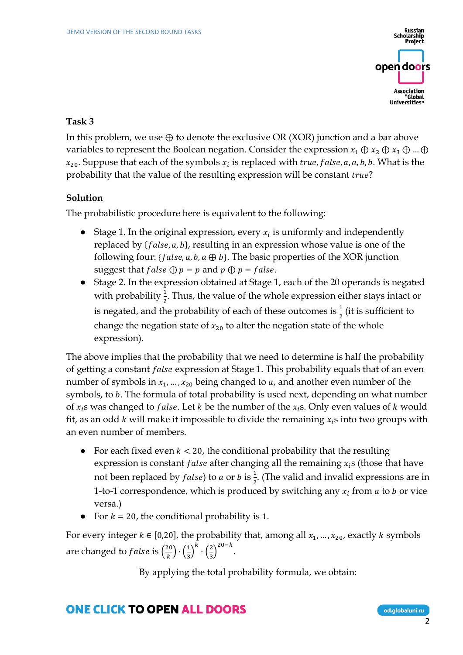Scholarship<br>Scholarship<br>Project open doors Association "Global

#### **Task 3**

In this problem, we use  $\oplus$  to denote the exclusive OR (XOR) junction and a bar above variables to represent the Boolean negation. Consider the expression  $x_1 \oplus x_2 \oplus x_3 \oplus ... \oplus x_n$  $x_{20}$ . Suppose that each of the symbols  $x_i$  is replaced with true, false, a, <u>a</u>, b, <u>b</u>. What is the probability that the value of the resulting expression will be constant true?

### **Solution**

The probabilistic procedure here is equivalent to the following:

- Stage 1. In the original expression, every  $x_i$  is uniformly and independently replaced by  $\{false, a, b\}$ , resulting in an expression whose value is one of the following four: { $false, a, b, a \oplus b$ }. The basic properties of the XOR junction suggest that  $false \oplus p = p$  and  $p \oplus p = false$ .
- Stage 2. In the expression obtained at Stage 1, each of the 20 operands is negated with probability  $\frac{1}{2}$ . Thus, the value of the whole expression either stays intact or is negated, and the probability of each of these outcomes is  $\frac{1}{2}$  (it is sufficient to change the negation state of  $x_{20}$  to alter the negation state of the whole expression).

The above implies that the probability that we need to determine is half the probability of getting a constant *false* expression at Stage 1. This probability equals that of an even number of symbols in  $x_1, ..., x_{20}$  being changed to a, and another even number of the symbols, to b. The formula of total probability is used next, depending on what number of  $x_i$ s was changed to *false*. Let  $k$  be the number of the  $x_i$ s. Only even values of  $k$  would fit, as an odd k will make it impossible to divide the remaining  $x_i$ s into two groups with an even number of members.

- For each fixed even  $k < 20$ , the conditional probability that the resulting expression is constant *false* after changing all the remaining  $x_i$ s (those that have not been replaced by *false*) to *a* or *b* is  $\frac{1}{2}$ . (The valid and invalid expressions are in 1-to-1 correspondence, which is produced by switching any  $x_i$  from a to b or vice versa.)
- For  $k = 20$ , the conditional probability is 1.

For every integer  $k \in [0,20]$ , the probability that, among all  $x_1, ..., x_{20}$ , exactly  $k$  symbols are changed to *false* is  $\left(\frac{20}{k}\right)$  $\left(\frac{20}{k}\right) \cdot \left(\frac{1}{3}\right)$  $\left(\frac{1}{3}\right)^k \cdot \left(\frac{2}{3}\right)$  $\frac{2}{3}$ )<sup>20-k</sup>.

By applying the total probability formula, we obtain: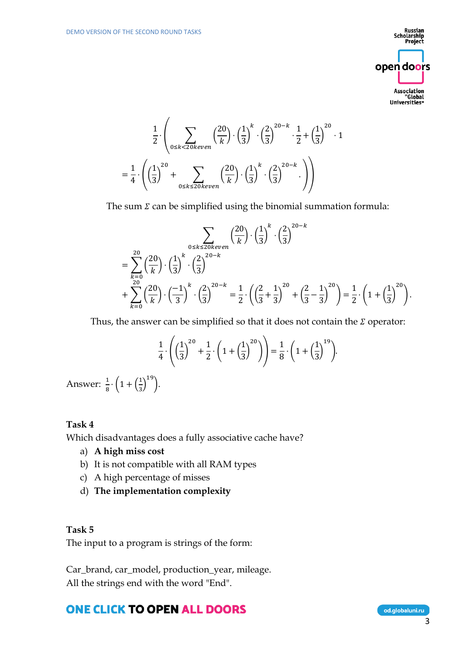$\overline{ }$ 

Russian Scholarship<br>Scholarship<br>Project open doors Association Global"<br>"Global Universities"

$$
\frac{1}{2} \cdot \left( \sum_{0 \le k < 20 \text{keven}} \left( \frac{20}{k} \right) \cdot \left( \frac{1}{3} \right)^k \cdot \left( \frac{2}{3} \right)^{20-k} \cdot \frac{1}{2} + \left( \frac{1}{3} \right)^{20} \cdot 1 \right)
$$
\n
$$
= \frac{1}{4} \cdot \left( \left( \frac{1}{3} \right)^{20} + \sum_{0 \le k \le 20 \text{keven}} \left( \frac{20}{k} \right) \cdot \left( \frac{1}{3} \right)^k \cdot \left( \frac{2}{3} \right)^{20-k} \cdot \right) \right)
$$

The sum  $\Sigma$  can be simplified using the binomial summation formula:

$$
\sum_{0 \le k \le 20 \text{keven}} \left(\frac{20}{k}\right) \cdot \left(\frac{1}{3}\right)^k \cdot \left(\frac{2}{3}\right)^{20-k}
$$
\n
$$
= \sum_{k=0}^{20} \left(\frac{20}{k}\right) \cdot \left(\frac{1}{3}\right)^k \cdot \left(\frac{2}{3}\right)^{20-k}
$$
\n
$$
+ \sum_{k=0}^{20} \left(\frac{20}{k}\right) \cdot \left(\frac{-1}{3}\right)^k \cdot \left(\frac{2}{3}\right)^{20-k} = \frac{1}{2} \cdot \left(\left(\frac{2}{3} + \frac{1}{3}\right)^{20} + \left(\frac{2}{3} - \frac{1}{3}\right)^{20}\right) = \frac{1}{2} \cdot \left(1 + \left(\frac{1}{3}\right)^{20}\right).
$$

Thus, the answer can be simplified so that it does not contain the  $\Sigma$  operator:

$$
\frac{1}{4} \cdot \left( \left( \frac{1}{3} \right)^{20} + \frac{1}{2} \cdot \left( 1 + \left( \frac{1}{3} \right)^{20} \right) \right) = \frac{1}{8} \cdot \left( 1 + \left( \frac{1}{3} \right)^{19} \right).
$$

Answer:  $\frac{1}{8} \cdot \left(1 + \left(\frac{1}{3}\right)\right)$  $\frac{1}{3}$  $\Big)^{19}$ .

#### **Task 4**

Which disadvantages does a fully associative cache have?

- a) **A high miss cost**
- b) It is not compatible with all RAM types
- c) A high percentage of misses
- d) **The implementation complexity**

#### **Task 5**

The input to a program is strings of the form:

Car\_brand, car\_model, production\_year, mileage. All the strings end with the word "End".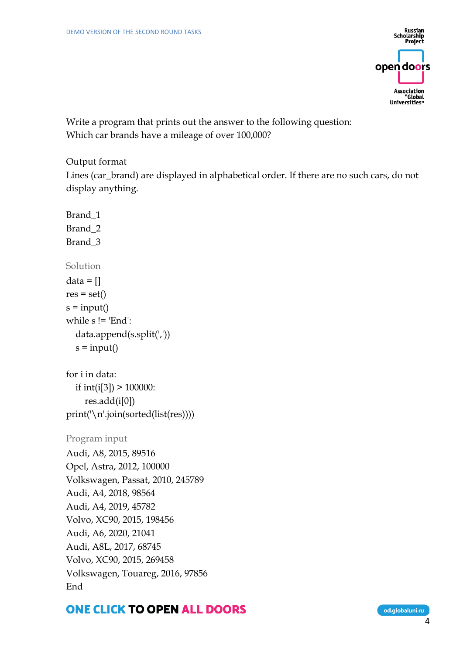

Write a program that prints out the answer to the following question: Which car brands have a mileage of over 100,000?

Output format

Lines (car\_brand) are displayed in alphabetical order. If there are no such cars, do not display anything.

```
Brand_1
Brand_2
Brand_3
Solution
data = []res = set()s = input()while s != 'End':
   data.append(s.split(','))
  s = input()for i in data:
   if int(i[3]) > 100000:
     res.add(i[0])
print('\n'.join(sorted(list(res))))
Program input
Audi, A8, 2015, 89516
Opel, Astra, 2012, 100000
Volkswagen, Passat, 2010, 245789
Audi, A4, 2018, 98564
Audi, A4, 2019, 45782
Volvo, XC90, 2015, 198456
Audi, A6, 2020, 21041
Audi, A8L, 2017, 68745
Volvo, XC90, 2015, 269458
Volkswagen, Touareg, 2016, 97856
End
```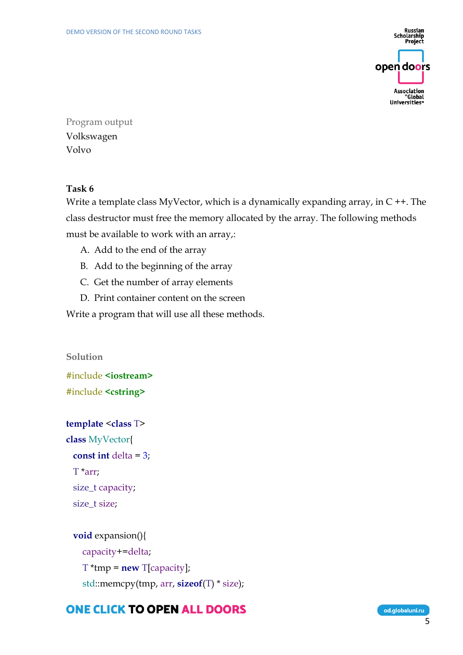

Program output Volkswagen Volvo

### **Task 6**

Write a template class MyVector, which is a dynamically expanding array, in  $C + \cdot$ . The class destructor must free the memory allocated by the array. The following methods must be available to work with an array,:

- A. Add to the end of the array
- B. Add to the beginning of the array
- C. Get the number of array elements
- D. Print container content on the screen

Write a program that will use all these methods.

**Solution** #include **<iostream>** #include **<cstring>**

```
template <class T>
class MyVector{
 const int delta = 3;
  T *arr;
  size_t capacity;
  size_t size;
```

```
 void expansion(){
   capacity+=delta;
   T *tmp = new T[capacity];
   std::memcpy(tmp, arr, sizeof(T) * size);
```
## **ONE CLICK TO OPEN ALL DOORS**

od.globaluni.ru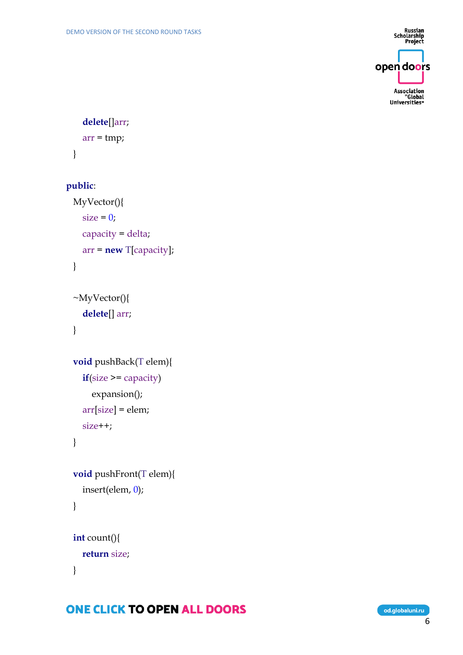Russian<br>Scholarship<br>Project open doors Association<br>Global"<br>Universities<sub>"</sub>

## **delete**[]arr;

```
 arr = tmp;
 }
```
### **public**:

```
 MyVector(){
  size = 0; capacity = delta;
   arr = new T[capacity];
 }
```

```
 ~MyVector(){
   delete[] arr;
 }
```

```
 void pushBack(T elem){
   if(size >= capacity)
     expansion();
   arr[size] = elem;
   size++;
 }
```

```
 void pushFront(T elem){
   insert(elem, 0);
```

```
 }
```

```
 int count(){
   return size;
 }
```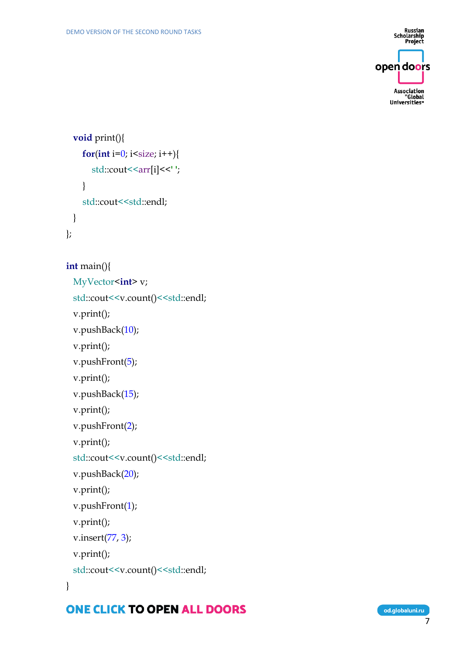Russian<br>Scholarship<br>Project open doors Association<br>Global"<br>Universities"

```
 void print(){
for(int i=0; i<size; i++){
 std::cout<<arr[i]<<' '
;
   }
   std::cout<<std::endl;
 }
```

```
};
```

```
int main(){
```

```
 MyVector
<int> v;
```

```
std::cout<<v.count()<<std::endl;
```

```
 v.print();
```

```
 v.pushBack(10);
```

```
 v.print();
```

```
v.pushFront(5);
```

```
 v.print();
```

```
 v.pushBack(15);
```

```
 v.print();
```

```
 v.pushFront(
2);
```

```
 v.print();
```

```
std::cout<<v.count()<<std::endl;
```

```
 v.pushBack(20);
```

```
 v.print();
```

```
 v.pushFront(
1);
```

```
 v.print();
```

```
 v.insert(77, 
3);
```

```
 v.print();
```

```
std::cout<<v.count()<<std::endl;
```
}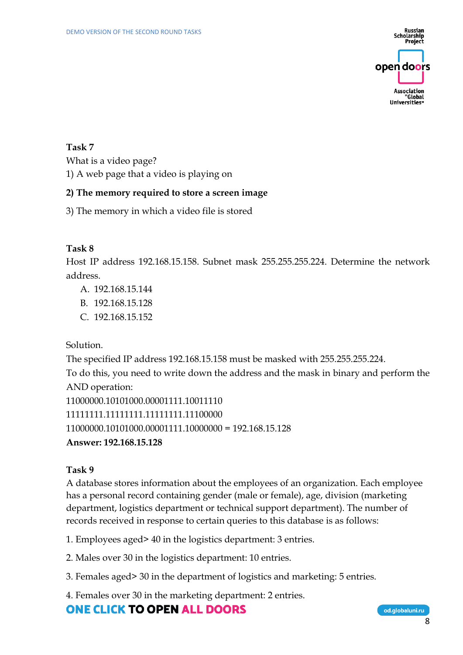Russian **Scholarship** Project open doors Association "Global Universities

### **Task 7**

What is a video page?

1) A web page that a video is playing on

#### **2) The memory required to store a screen image**

3) The memory in which a video file is stored

#### **Task 8**

Host IP address 192.168.15.158. Subnet mask 255.255.255.224. Determine the network address.

- A. 192.168.15.144
- B. 192.168.15.128
- C. 192.168.15.152

Solution.

The specified IP address 192.168.15.158 must be masked with 255.255.255.224. To do this, you need to write down the address and the mask in binary and perform the AND operation: 11000000.10101000.00001111.10011110 11111111.11111111.11111111.11100000 11000000.10101000.00001111.10000000 = 192.168.15.128 **Answer: 192.168.15.128**

#### **Task 9**

A database stores information about the employees of an organization. Each employee has a personal record containing gender (male or female), age, division (marketing department, logistics department or technical support department). The number of records received in response to certain queries to this database is as follows:

1. Employees aged> 40 in the logistics department: 3 entries.

2. Males over 30 in the logistics department: 10 entries.

3. Females aged> 30 in the department of logistics and marketing: 5 entries.

4. Females over 30 in the marketing department: 2 entries.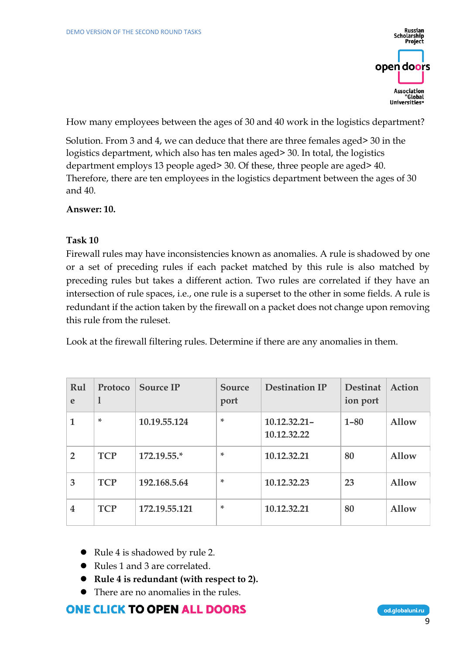Russian Scholarship<br>Scholarship<br>Project open doors Association "Global Universities<sup>®</sup>

How many employees between the ages of 30 and 40 work in the logistics department?

Solution. From 3 and 4, we can deduce that there are three females aged> 30 in the logistics department, which also has ten males aged> 30. In total, the logistics department employs 13 people aged> 30. Of these, three people are aged> 40. Therefore, there are ten employees in the logistics department between the ages of 30 and 40.

**Answer: 10.**

#### **Task 10**

Firewall rules may have inconsistencies known as anomalies. A rule is shadowed by one or a set of preceding rules if each packet matched by this rule is also matched by preceding rules but takes a different action. Two rules are correlated if they have an intersection of rule spaces, i.e., one rule is a superset to the other in some fields. A rule is redundant if the action taken by the firewall on a packet does not change upon removing this rule from the ruleset.

Look at the firewall filtering rules. Determine if there are any anomalies in them.

| Rul<br>e       | Protoco<br>1 | <b>Source IP</b> | Source<br>port | <b>Destination IP</b>          | <b>Destinat</b><br>ion port | Action       |
|----------------|--------------|------------------|----------------|--------------------------------|-----------------------------|--------------|
|                | ×.           | 10.19.55.124     | *              | $10.12.32.21 -$<br>10.12.32.22 | $1 - 80$                    | Allow        |
| $\overline{2}$ | <b>TCP</b>   | 172.19.55.*      | *              | 10.12.32.21                    | 80                          | <b>Allow</b> |
| 3              | <b>TCP</b>   | 192.168.5.64     | ÷              | 10.12.32.23                    | 23                          | <b>Allow</b> |
| 4              | <b>TCP</b>   | 172.19.55.121    | ÷              | 10.12.32.21                    | 80                          | Allow        |

- Rule 4 is shadowed by rule 2.
- Rules 1 and 3 are correlated.
- ⚫ **Rule 4 is redundant (with respect to 2).**
- ⚫ There are no anomalies in the rules.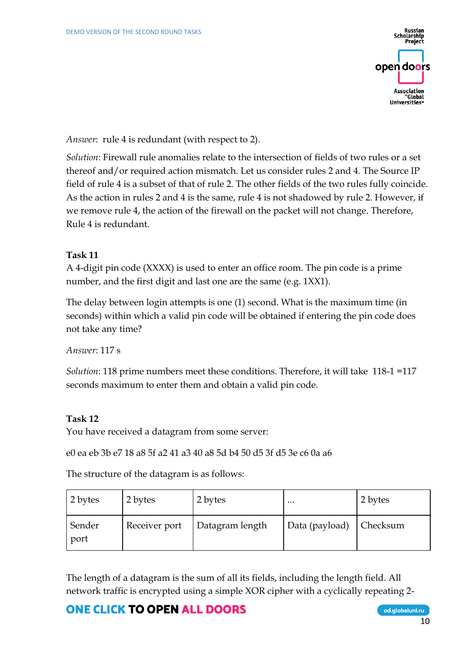Scholarship open doors Association "Global Universities

*Answer*: rule 4 is redundant (with respect to 2).

*Solution*: Firewall rule anomalies relate to the intersection of fields of two rules or a set thereof and/or required action mismatch. Let us consider rules 2 and 4. The Source IP field of rule 4 is a subset of that of rule 2. The other fields of the two rules fully coincide. As the action in rules 2 and 4 is the same, rule 4 is not shadowed by rule 2. However, if we remove rule 4, the action of the firewall on the packet will not change. Therefore, Rule 4 is redundant.

### **Task 11**

A 4-digit pin code (XXXX) is used to enter an office room. The pin code is a prime number, and the first digit and last one are the same (e.g. 1XX1).

The delay between login attempts is one (1) second. What is the maximum time (in seconds) within which a valid pin code will be obtained if entering the pin code does not take any time?

*Answer*: 117 s

*Solution*: 118 prime numbers meet these conditions. Therefore, it will take 118-1 =117 seconds maximum to enter them and obtain a valid pin code.

### **Task 12**

You have received a datagram from some server:

e0 ea eb 3b e7 18 a8 5f a2 41 a3 40 a8 5d b4 50 d5 3f d5 3e c6 0a a6

The structure of the datagram is as follows:

| 2 bytes        | 2 bytes       | 2 bytes         | $\cdots$                | 2 bytes |
|----------------|---------------|-----------------|-------------------------|---------|
| Sender<br>port | Receiver port | Datagram length | Data (payload) Checksum |         |

The length of a datagram is the sum of all its fields, including the length field. All network traffic is encrypted using a simple XOR cipher with a cyclically repeating 2-

## **ONE CLICK TO OPEN ALL DOORS**

od.globaluni.ru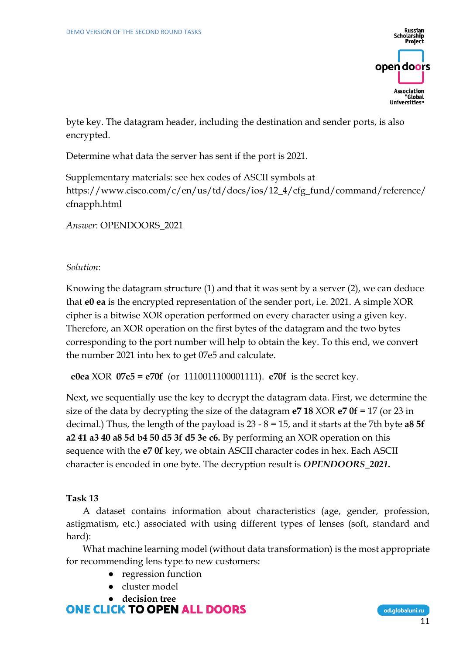**Scholarship** open doors Association "Global

byte key. The datagram header, including the destination and sender ports, is also encrypted.

Determine what data the server has sent if the port is 2021.

Supplementary materials: see hex codes of ASCII symbols at https://www.cisco.com/c/en/us/td/docs/ios/12\_4/cfg\_fund/command/reference/ cfnapph.html

*Answer*: OPENDOORS\_2021

#### *Solution*:

Knowing the datagram structure (1) and that it was sent by a server (2), we can deduce that **e0 ea** is the encrypted representation of the sender port, i.e. 2021. A simple XOR cipher is a bitwise XOR operation performed on every character using a given key. Therefore, an XOR operation on the first bytes of the datagram and the two bytes corresponding to the port number will help to obtain the key. To this end, we convert the number 2021 into hex to get 07e5 and calculate.

**e0ea** XOR **07e5 = e70f** (or 1110011100001111). **e70f** is the secret key.

Next, we sequentially use the key to decrypt the datagram data. First, we determine the size of the data by decrypting the size of the datagram **e7 18** XOR **e7 0f** = 17 (or 23 in decimal.) Thus, the length of the payload is 23 - 8 = 15, and it starts at the 7th byte **a8 5f a2 41 a3 40 a8 5d b4 50 d5 3f d5 3e c6.** By performing an XOR operation on this sequence with the **e7 0f** key, we obtain ASCII character codes in hex. Each ASCII character is encoded in one byte. The decryption result is *OPENDOORS\_2021.*

#### **Task 13**

A dataset contains information about characteristics (age, gender, profession, astigmatism, etc.) associated with using different types of lenses (soft, standard and hard):

What machine learning model (without data transformation) is the most appropriate for recommending lens type to new customers:

- regression function
- cluster model

● **decision treeONE CLICK TO OPEN ALL DOORS**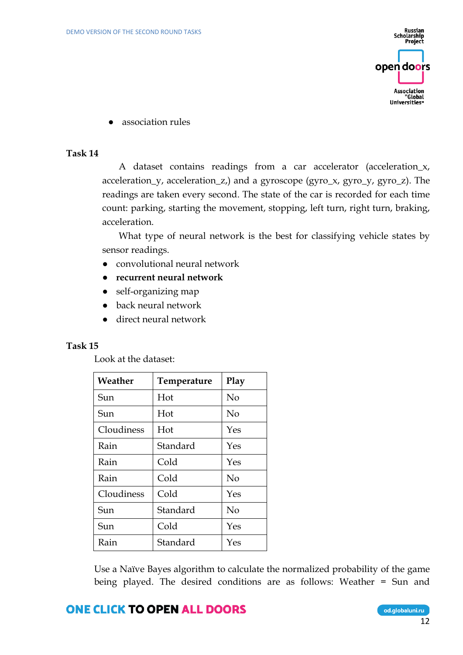Russian Scholarship<br>Project open doors Association "Global Universities"

● association rules

#### **Task 14**

A dataset contains readings from a car accelerator (acceleration\_x, acceleration\_y, acceleration\_z,) and a gyroscope (gyro\_x, gyro\_y, gyro\_z). The readings are taken every second. The state of the car is recorded for each time count: parking, starting the movement, stopping, left turn, right turn, braking, acceleration.

What type of neural network is the best for classifying vehicle states by sensor readings.

- convolutional neural network
- **recurrent neural network**
- self-organizing map
- back neural network
- direct neural network

#### **Task 15**

Look at the dataset:

| Weather    | Temperature | Play           |
|------------|-------------|----------------|
| Sun        | Hot         | No             |
| Sun        | Hot         | No             |
| Cloudiness | Hot         | Yes            |
| Rain       | Standard    | Yes            |
| Rain       | Cold        | Yes            |
| Rain       | Cold        | No             |
| Cloudiness | Cold        | Yes            |
| Sun        | Standard    | N <sub>o</sub> |
| Sun        | Cold        | Yes            |
| Rain       | Standard    | Yes            |

Use a Naïve Bayes algorithm to calculate the normalized probability of the game being played. The desired conditions are as follows: Weather = Sun and